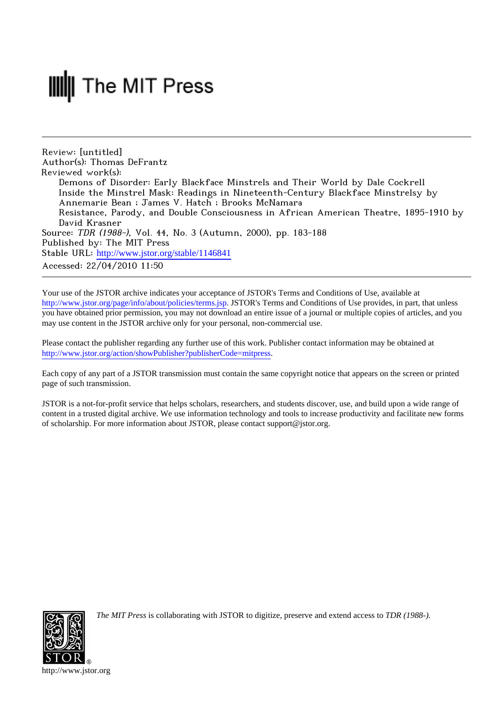## **III** The MIT Press

Review: [untitled] Author(s): Thomas DeFrantz Reviewed work(s): Demons of Disorder: Early Blackface Minstrels and Their World by Dale Cockrell Inside the Minstrel Mask: Readings in Nineteenth-Century Blackface Minstrelsy by Annemarie Bean ; James V. Hatch ; Brooks McNamara Resistance, Parody, and Double Consciousness in African American Theatre, 1895-1910 by David Krasner Source: TDR (1988-), Vol. 44, No. 3 (Autumn, 2000), pp. 183-188 Published by: The MIT Press Stable URL: [http://www.jstor.org/stable/1146841](http://www.jstor.org/stable/1146841?origin=JSTOR-pdf) Accessed: 22/04/2010 11:50

Your use of the JSTOR archive indicates your acceptance of JSTOR's Terms and Conditions of Use, available at <http://www.jstor.org/page/info/about/policies/terms.jsp>. JSTOR's Terms and Conditions of Use provides, in part, that unless you have obtained prior permission, you may not download an entire issue of a journal or multiple copies of articles, and you may use content in the JSTOR archive only for your personal, non-commercial use.

Please contact the publisher regarding any further use of this work. Publisher contact information may be obtained at [http://www.jstor.org/action/showPublisher?publisherCode=mitpress.](http://www.jstor.org/action/showPublisher?publisherCode=mitpress)

Each copy of any part of a JSTOR transmission must contain the same copyright notice that appears on the screen or printed page of such transmission.

JSTOR is a not-for-profit service that helps scholars, researchers, and students discover, use, and build upon a wide range of content in a trusted digital archive. We use information technology and tools to increase productivity and facilitate new forms of scholarship. For more information about JSTOR, please contact support@jstor.org.



*The MIT Press* is collaborating with JSTOR to digitize, preserve and extend access to *TDR (1988-).*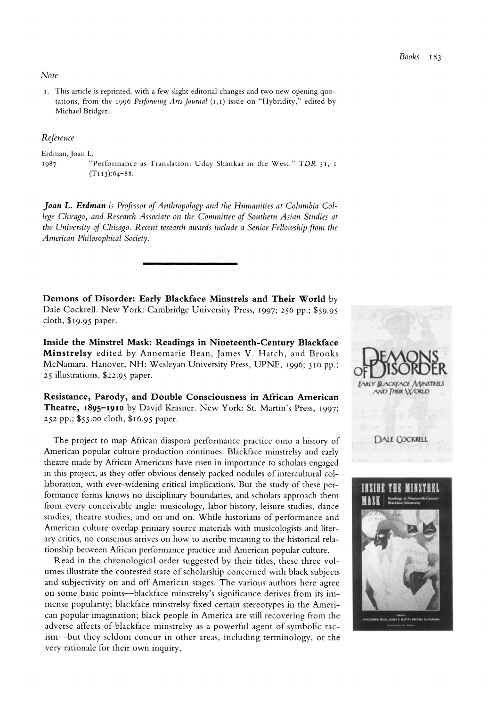**Note** 

**i. This article is reprinted, with a few slight editorial changes and two new opening quotations, from the I996 Performing Arts Journal (I,I) issue on "Hybridity," edited by Michael Bridger.** 

## **Reference**

**Erdman, Joan L.** 

**I987 "Performance as Translation: Uday Shankar in the West." TDR 31, I (TI I3):64-88.** 

**Joan L. Erdman is Professor of Anthropology and the Humanities at Columbia College Chicago, and Research Associate on the Committee of Southern Asian Studies at the University of Chicago. Recent research awards include a Senior Fellowship from the American Philosophical Society.** 

**Demons of Disorder: Early Blackface Minstrels and Their World by Dale Cockrell. New York: Cambridge University Press, I997; 256 pp.; \$59.95 cloth, \$19.95 paper.** 

**Inside the Minstrel Mask: Readings in Nineteenth-Century Blackface Minstrelsy edited by Annemarie Bean, James V. Hatch, and Brooks McNamara. Hanover, NH: Wesleyan University Press, UPNE, i996; 310 pp.; <sup>25</sup>illustrations, \$22.95 paper.** 

**Resistance, Parody, and Double Consciousness in African American Theatre, 1895-1910 by David Krasner. New York: St. Martin's Press, 1997; 252 pp.; \$55.oo cloth, \$16.95 paper.** 

**The project to map African diaspora performance practice onto a history of American popular culture production continues. Blackface minstrelsy and early theatre made by African Americans have risen in importance to scholars engaged in this project, as they offer obvious densely packed nodules of intercultural collaboration, with ever-widening critical implications. But the study of these performance forms knows no disciplinary boundaries, and scholars approach them from every conceivable angle: musicology, labor history, leisure studies, dance studies, theatre studies, and on and on. While historians of performance and American culture overlap primary source materials with musicologists and literary critics, no consensus arrives on how to ascribe meaning to the historical relationship between African performance practice and American popular culture.** 

**Read in the chronological order suggested by their titles, these three volumes illustrate the contested state of scholarship concerned with black subjects and subjectivity on and off American stages. The various authors here agree on some basic points-blackface minstrelsy's significance derives from its immense popularity; blackface minstrelsy fixed certain stereotypes in the American popular imagination; black people in America are still recovering from the adverse affects of blackface minstrelsy as a powerful agent of symbolic racism-but they seldom concur in other areas, including terminology, or the very rationale for their own inquiry.** 

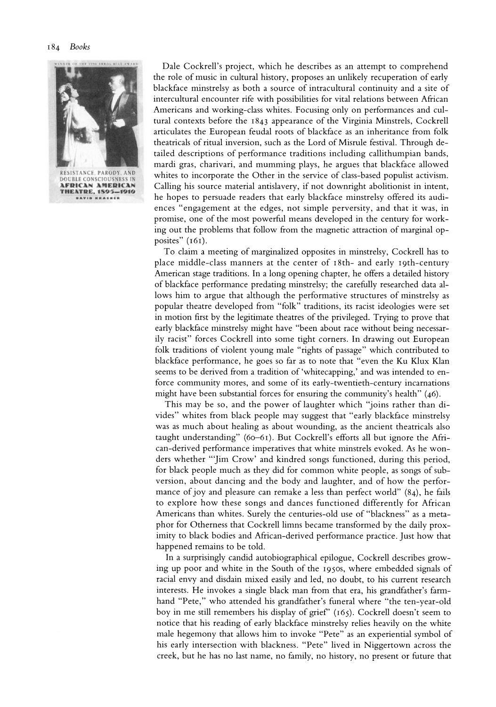

**Dale Cockrell's project, which he describes as an attempt to comprehend the role of music in cultural history, proposes an unlikely recuperation of early blackface minstrelsy as both a source of intracultural continuity and a site of intercultural encounter rife with possibilities for vital relations between African Americans and working-class whites. Focusing only on performances and cultural contexts before the 1843 appearance of the Virginia Minstrels, Cockrell articulates the European feudal roots of blackface as an inheritance from folk theatricals of ritual inversion, such as the Lord of Misrule festival. Through detailed descriptions of performance traditions including callithumpian bands, mardi gras, charivari, and mumming plays, he argues that blackface allowed whites to incorporate the Other in the service of class-based populist activism. Calling his source material antislavery, if not downright abolitionist in intent, he hopes to persuade readers that early blackface minstrelsy offered its audiences "engagement at the edges, not simple perversity, and that it was, in promise, one of the most powerful means developed in the century for working out the problems that follow from the magnetic attraction of marginal opposites" (I6I).** 

**To claim a meeting of marginalized opposites in minstrelsy, Cockrell has to place middle-class manners at the center of I8th- and early Igth-century American stage traditions. In a long opening chapter, he offers a detailed history of blackface performance predating minstrelsy; the carefully researched data allows him to argue that although the performative structures of minstrelsy as popular theatre developed from "folk" traditions, its racist ideologies were set in motion first by the legitimate theatres of the privileged. Trying to prove that early blackface minstrelsy might have "been about race without being necessarily racist" forces Cockrell into some tight corners. In drawing out European folk traditions of violent young male "rights of passage" which contributed to blackface performance, he goes so far as to note that "even the Ku Klux Klan seems to be derived from a tradition of'whitecapping,' and was intended to enforce community mores, and some of its early-twentieth-century incarnations might have been substantial forces for ensuring the community's health" (46).** 

**This may be so, and the power of laughter which "joins rather than divides" whites from black people may suggest that "early blackface minstrelsy was as much about healing as about wounding, as the ancient theatricals also taught understanding" (60-6I). But Cockrell's efforts all but ignore the African-derived performance imperatives that white minstrels evoked. As he wonders whether "'Jim Crow' and kindred songs functioned, during this period, for black people much as they did for common white people, as songs of subversion, about dancing and the body and laughter, and of how the performance of joy and pleasure can remake a less than perfect world" (84), he fails to explore how these songs and dances functioned differently for African Americans than whites. Surely the centuries-old use of "blackness" as a metaphor for Otherness that Cockrell limns became transformed by the daily proximity to black bodies and African-derived performance practice. Just how that happened remains to be told.** 

**In a surprisingly candid autobiographical epilogue, Cockrell describes growing up poor and white in the South of the 195os, where embedded signals of racial envy and disdain mixed easily and led, no doubt, to his current research interests. He invokes a single black man from that era, his grandfather's farmhand "Pete," who attended his grandfather's funeral where "the ten-year-old boy in me still remembers his display of grief" (165). Cockrell doesn't seem to notice that his reading of early blackface minstrelsy relies heavily on the white male hegemony that allows him to invoke "Pete" as an experiential symbol of his early intersection with blackness. "Pete" lived in Niggertown across the creek, but he has no last name, no family, no history, no present or future that**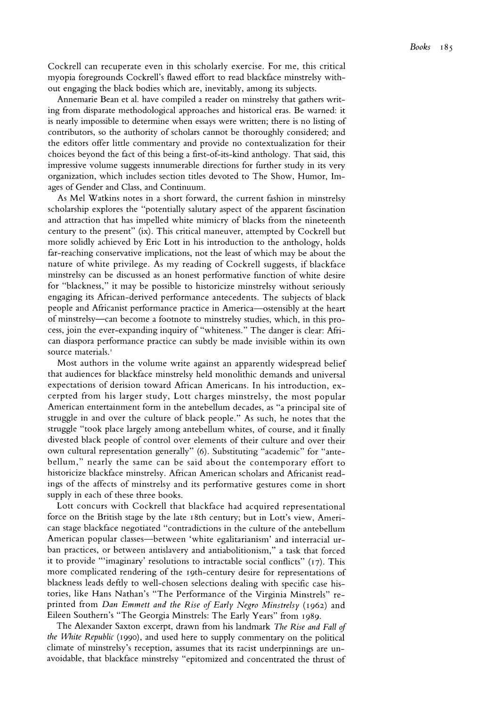**Cockrell can recuperate even in this scholarly exercise. For me, this critical myopia foregrounds Cockrell's flawed effort to read blackface minstrelsy without engaging the black bodies which are, inevitably, among its subjects.** 

**Annemarie Bean et al. have compiled a reader on minstrelsy that gathers writing from disparate methodological approaches and historical eras. Be warned: it is nearly impossible to determine when essays were written; there is no listing of contributors, so the authority of scholars cannot be thoroughly considered; and the editors offer little commentary and provide no contextualization for their choices beyond the fact of this being a first-of-its-kind anthology. That said, this impressive volume suggests innumerable directions for further study in its very organization, which includes section titles devoted to The Show, Humor, Images of Gender and Class, and Continuum.** 

**As Mel Watkins notes in a short forward, the current fashion in minstrelsy scholarship explores the "potentially salutary aspect of the apparent fascination and attraction that has impelled white mimicry of blacks from the nineteenth century to the present" (ix). This critical maneuver, attempted by Cockrell but more solidly achieved by Eric Lott in his introduction to the anthology, holds far-reaching conservative implications, not the least of which may be about the nature of white privilege. As my reading of Cockrell suggests, if blackface minstrelsy can be discussed as an honest performative function of white desire for "blackness," it may be possible to historicize minstrelsy without seriously engaging its African-derived performance antecedents. The subjects of black people and Africanist performance practice in America-ostensibly at the heart of minstrelsy-can become a footnote to minstrelsy studies, which, in this process, join the ever-expanding inquiry of "whiteness." The danger is clear: African diaspora performance practice can subtly be made invisible within its own source materials.'** 

**Most authors in the volume write against an apparently widespread belief that audiences for blackface minstrelsy held monolithic demands and universal expectations of derision toward African Americans. In his introduction, excerpted from his larger study, Lott charges minstrelsy, the most popular American entertainment form in the antebellum decades, as "a principal site of struggle in and over the culture of black people." As such, he notes that the struggle "took place largely among antebellum whites, of course, and it finally divested black people of control over elements of their culture and over their own cultural representation generally" (6). Substituting "academic" for "antebellum," nearly the same can be said about the contemporary effort to historicize blackface minstrelsy. African American scholars and Africanist readings of the affects of minstrelsy and its performative gestures come in short supply in each of these three books.** 

**Lott concurs with Cockrell that blackface had acquired representational force on the British stage by the late I8th century; but in Lott's view, American stage blackface negotiated "contradictions in the culture of the antebellum American popular classes-between 'white egalitarianism' and interracial urban practices, or between antislavery and antiabolitionism," a task that forced it to provide "'imaginary' resolutions to intractable social conflicts" (17). This more complicated rendering of the 19th-century desire for representations of blackness leads deftly to well-chosen selections dealing with specific case histories, like Hans Nathan's "The Performance of the Virginia Minstrels" reprinted from Dan Emmett and the Rise of Early Negro Minstrelsy (1962) and Eileen Southern's "The Georgia Minstrels: The Early Years" from 1989.** 

**The Alexander Saxton excerpt, drawn from his landmark The Rise and Fall of the White Republic (I990), and used here to supply commentary on the political climate of minstrelsy's reception, assumes that its racist underpinnings are unavoidable, that blackface minstrelsy "epitomized and concentrated the thrust of**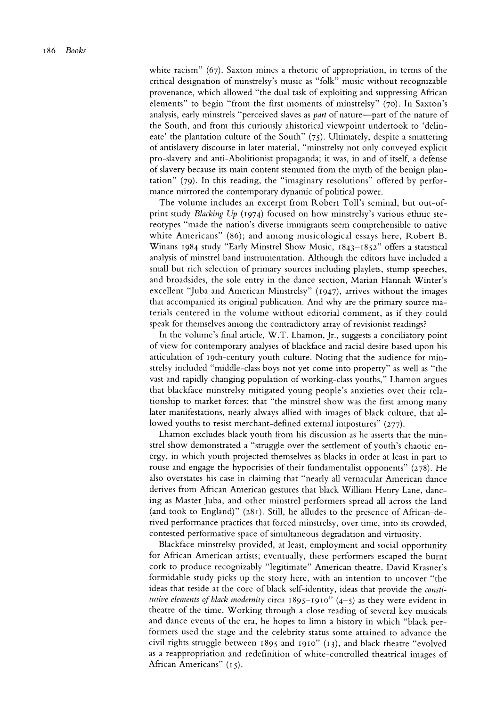**white racism" (67). Saxton mines a rhetoric of appropriation, in terms of the critical designation of minstrelsy's music as "folk" music without recognizable provenance, which allowed "the dual task of exploiting and suppressing African elements" to begin "from the first moments of minstrelsy" (70). In Saxton's analysis, early minstrels "perceived slaves as part of nature-part of the nature of the South, and from this curiously ahistorical viewpoint undertook to 'delineate' the plantation culture of the South" (75). Ultimately, despite a smattering of antislavery discourse in later material, "minstrelsy not only conveyed explicit pro-slavery and anti-Abolitionist propaganda; it was, in and of itself, a defense of slavery because its main content stemmed from the myth of the benign plantation" (79). In this reading, the "imaginary resolutions" offered by performance mirrored the contemporary dynamic of political power.** 

**The volume includes an excerpt from Robert Toll's seminal, but out-ofprint study Blacking Up (1974) focused on how minstrelsy's various ethnic stereotypes "made the nation's diverse immigrants seem comprehensible to native white Americans" (86); and among musicological essays here, Robert B. Winans 1984 study "Early Minstrel Show Music, I843-I852" offers a statistical analysis of minstrel band instrumentation. Although the editors have included a small but rich selection of primary sources including playlets, stump speeches, and broadsides, the sole entry in the dance section, Marian Hannah Winter's excellent "Juba and American Minstrelsy" (1947), arrives without the images that accompanied its original publication. And why are the primary source materials centered in the volume without editorial comment, as if they could speak for themselves among the contradictory array of revisionist readings?** 

**In the volume's final article, W.T. Lhamon, Jr., suggests a conciliatory point of view for contemporary analyses of blackface and racial desire based upon his articulation of Igth-century youth culture. Noting that the audience for minstrelsy included "middle-class boys not yet come into property" as well as "the vast and rapidly changing population of working-class youths," Lhamon argues that blackface minstrelsy mitigated young people's anxieties over their relationship to market forces; that "the minstrel show was the first among many later manifestations, nearly always allied with images of black culture, that allowed youths to resist merchant-defined external impostures" (277).** 

**Lhamon excludes black youth from his discussion as he asserts that the minstrel show demonstrated a "struggle over the settlement of youth's chaotic energy, in which youth projected themselves as blacks in order at least in part to rouse and engage the hypocrisies of their fundamentalist opponents" (278). He also overstates his case in claiming that "nearly all vernacular American dance derives from African American gestures that black William Henry Lane, dancing as Master Juba, and other minstrel performers spread all across the land (and took to England)" (281). Still, he alludes to the presence of African-derived performance practices that forced minstrelsy, over time, into its crowded, contested performative space of simultaneous degradation and virtuosity.** 

**Blackface minstrelsy provided, at least, employment and social opportunity for African American artists; eventually, these performers escaped the burnt cork to produce recognizably "legitimate" American theatre. David Krasner's formidable study picks up the story here, with an intention to uncover "the ideas that reside at the core of black self-identity, ideas that provide the constitutive elements of black modernity circa I895-I910" (4-5) as they were evident in theatre of the time. Working through a close reading of several key musicals and dance events of the era, he hopes to limn a history in which "black performers used the stage and the celebrity status some attained to advance the civil rights struggle between I895 and 1910" (13), and black theatre "evolved as a reappropriation and redefinition of white-controlled theatrical images of African Americans" (I 5).**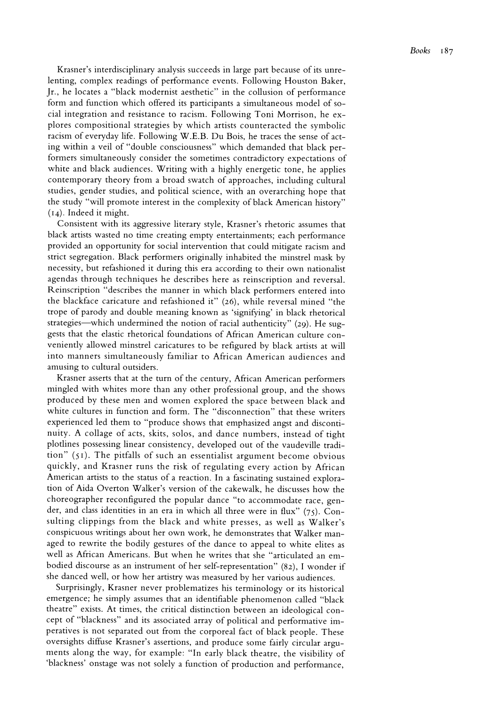**Krasner's interdisciplinary analysis succeeds in large part because of its unrelenting, complex readings of performance events. Following Houston Baker, Jr., he locates a "black modernist aesthetic" in the collusion of performance form and function which offered its participants a simultaneous model of social integration and resistance to racism. Following Toni Morrison, he explores compositional strategies by which artists counteracted the symbolic racism of everyday life. Following W.E.B. Du Bois, he traces the sense of acting within a veil of "double consciousness" which demanded that black performers simultaneously consider the sometimes contradictory expectations of white and black audiences. Writing with a highly energetic tone, he applies contemporary theory from a broad swatch of approaches, including cultural studies, gender studies, and political science, with an overarching hope that the study "will promote interest in the complexity of black American history" (I4). Indeed it might.** 

**Consistent with its aggressive literary style, Krasner's rhetoric assumes that black artists wasted no time creating empty entertainments; each performance provided an opportunity for social intervention that could mitigate racism and strict segregation. Black performers originally inhabited the minstrel mask by necessity, but refashioned it during this era according to their own nationalist agendas through techniques he describes here as reinscription and reversal. Reinscription "describes the manner in which black performers entered into the blackface caricature and refashioned it" (26), while reversal mined "the trope of parody and double meaning known as 'signifying' in black rhetorical strategies-which undermined the notion of racial authenticity" (29). He suggests that the elastic rhetorical foundations of African American culture conveniently allowed minstrel caricatures to be refigured by black artists at will into manners simultaneously familiar to African American audiences and amusing to cultural outsiders.** 

**Krasner asserts that at the turn of the century, African American performers mingled with whites more than any other professional group, and the shows produced by these men and women explored the space between black and white cultures in function and form. The "disconnection" that these writers experienced led them to "produce shows that emphasized angst and discontinuity. A collage of acts, skits, solos, and dance numbers, instead of tight plotlines possessing linear consistency, developed out of the vaudeville tradition" (5I). The pitfalls of such an essentialist argument become obvious quickly, and Krasner runs the risk of regulating every action by African American artists to the status of a reaction. In a fascinating sustained exploration of Aida Overton Walker's version of the cakewalk, he discusses how the choreographer reconfigured the popular dance "to accommodate race, gender, and class identities in an era in which all three were in flux" (75). Consulting clippings from the black and white presses, as well as Walker's conspicuous writings about her own work, he demonstrates that Walker managed to rewrite the bodily gestures of the dance to appeal to white elites as well as African Americans. But when he writes that she "articulated an embodied discourse as an instrument of her self-representation" (82), I wonder if she danced well, or how her artistry was measured by her various audiences.** 

**Surprisingly, Krasner never problematizes his terminology or its historical emergence; he simply assumes that an identifiable phenomenon called "black theatre" exists. At times, the critical distinction between an ideological concept of "blackness" and its associated array of political and performative imperatives is not separated out from the corporeal fact of black people. These oversights diffuse Krasner's assertions, and produce some fairly circular arguments along the way, for example: "In early black theatre, the visibility of 'blackness' onstage was not solely a function of production and performance,**